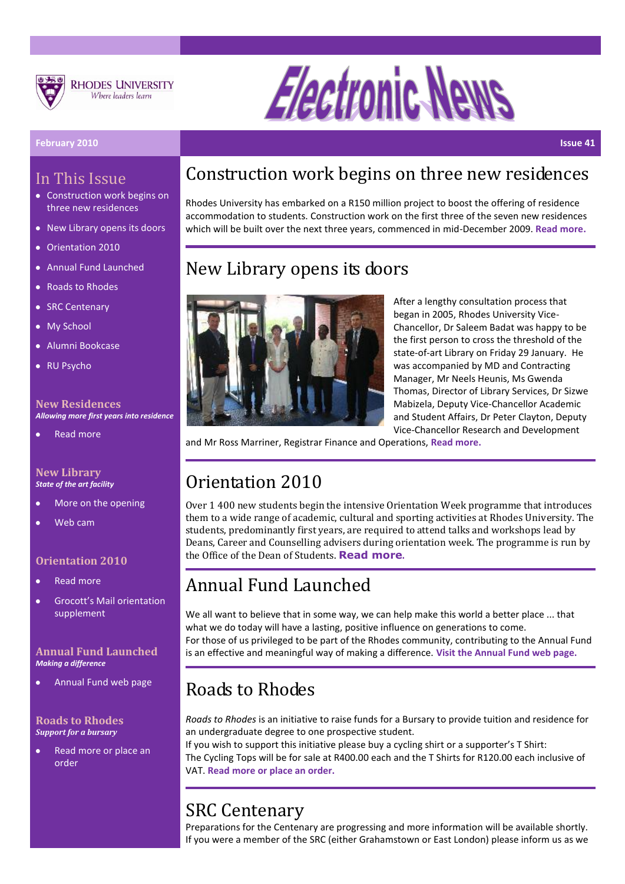



#### **February 2010 Issue 41**

### In This Issue

- Construction work begins on three new residences
- New Library opens its doors
- Orientation 2010
- Annual Fund Launched
- Roads to Rhodes
- SRC Centenary
- My School
- Alumni Bookcase
- RU Psycho

#### **New Residences** *Allowing more first years into residence*

[Read more](http://www.ru.ac.za/modules/blog_include/blog_content.php?blog_id=861)

#### **New Library** *State of the art facility*

- [More on the opening](http://www.ru.ac.za/modules/blog_include/blog_content.php?blog_id=853)
- [Web cam](http://www.ru.ac.za/libraryexpansionproject)

### **Orientation 2010**

- [Read more](http://www.ru.ac.za/modules/blog_include/blog_content.php?blog_id=849)
- [Grocott's Mail orientation](http://www.ru.ac.za/static/rhodos/Supplement.pdf)  [supplement](http://www.ru.ac.za/static/rhodos/Supplement.pdf)

### **Annual Fund Launched** *Making a difference*

[Annual Fund web page](http://www.ru.ac.za/annualfund)

#### **Roads to Rhodes** *Support for a bursary*

[Read more or place an](http://www.ru.ac.za/alumni/roadstorhodes)  [order](http://www.ru.ac.za/alumni/roadstorhodes)

## Construction work begins on three new residences

Rhodes University has embarked on a R150 million project to boost the offering of residence accommodation to students. Construction work on the first three of the seven new residences which will be built over the next three years, commenced in mid-December 2009. **[Read more.](http://www.ru.ac.za/modules/blog_include/blog_content.php?blog_id=861)**

### New Library opens its doors



After a lengthy consultation process that began in 2005, Rhodes University Vice-Chancellor, Dr Saleem Badat was happy to be the first person to cross the threshold of the state-of-art Library on Friday 29 January. He was accompanied by MD and Contracting Manager, Mr Neels Heunis, Ms Gwenda Thomas, Director of Library Services, Dr Sizwe Mabizela, Deputy Vice-Chancellor Academic and Student Affairs, Dr Peter Clayton, Deputy Vice-Chancellor Research and Development

and Mr Ross Marriner, Registrar Finance and Operations, **[Read more.](http://www.ru.ac.za/modules/blog_include/blog_content.php?blog_id=853)**

### Orientation 2010

Over 1 400 new students begin the intensive Orientation Week programme that introduces them to a wide range of academic, cultural and sporting activities at Rhodes University. The students, predominantly first years, are required to attend talks and workshops lead by Deans, Career and Counselling advisers during orientation week. The programme is run by the Office of the Dean of Students. **[Read more](http://www.ru.ac.za/modules/blog_include/blog_content.php?blog_id=849).**

# Annual Fund Launched

We all want to believe that in some way, we can help make this world a better place ... that what we do today will have a lasting, positive influence on generations to come. For those of us privileged to be part of the Rhodes community, contributing to the Annual Fund is an effective and meaningful way of making a difference. **[Visit the Annual Fund web page.](http://www.ru.ac.za/annualfund)**

## Roads to Rhodes

*Roads to Rhodes* is an initiative to raise funds for a Bursary to provide tuition and residence for an undergraduate degree to one prospective student.

If you wish to support this initiative please buy a cycling shirt or a supporter's T Shirt: The Cycling Tops will be for sale at R400.00 each and the T Shirts for R120.00 each inclusive of VAT. **[Read more or place an order.](http://www.ru.ac.za/alumni/roadstorhodes)**

## SRC Centenary

Preparations for the Centenary are progressing and more information will be available shortly. If you were a member of the SRC (either Grahamstown or East London) please inform us as we